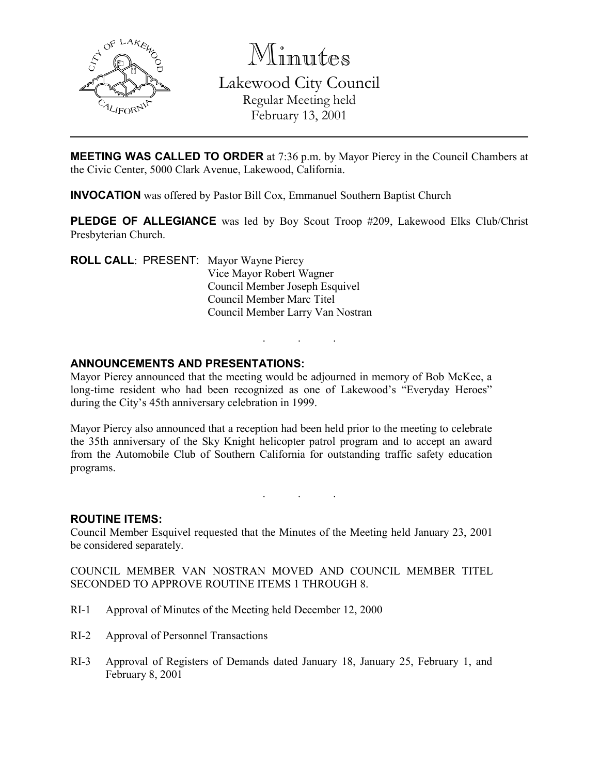

Minutes Lakewood City Council Regular Meeting held February 13, 2001

**MEETING WAS CALLED TO ORDER** at 7:36 p.m. by Mayor Piercy in the Council Chambers at the Civic Center, 5000 Clark Avenue, Lakewood, California.

INVOCATION was offered by Pastor Bill Cox, Emmanuel Southern Baptist Church

PLEDGE OF ALLEGIANCE was led by Boy Scout Troop #209, Lakewood Elks Club/Christ Presbyterian Church.

. . .

ROLL CALL: PRESENT: Mayor Wayne Piercy Vice Mayor Robert Wagner Council Member Joseph Esquivel Council Member Marc Titel Council Member Larry Van Nostran

## ANNOUNCEMENTS AND PRESENTATIONS:

Mayor Piercy announced that the meeting would be adjourned in memory of Bob McKee, a long-time resident who had been recognized as one of Lakewood's "Everyday Heroes" during the City's 45th anniversary celebration in 1999.

Mayor Piercy also announced that a reception had been held prior to the meeting to celebrate the 35th anniversary of the Sky Knight helicopter patrol program and to accept an award from the Automobile Club of Southern California for outstanding traffic safety education programs.

. . .

#### ROUTINE ITEMS:

Council Member Esquivel requested that the Minutes of the Meeting held January 23, 2001 be considered separately.

COUNCIL MEMBER VAN NOSTRAN MOVED AND COUNCIL MEMBER TITEL SECONDED TO APPROVE ROUTINE ITEMS 1 THROUGH 8.

- RI-1 Approval of Minutes of the Meeting held December 12, 2000
- RI-2 Approval of Personnel Transactions
- RI-3 Approval of Registers of Demands dated January 18, January 25, February 1, and February 8, 2001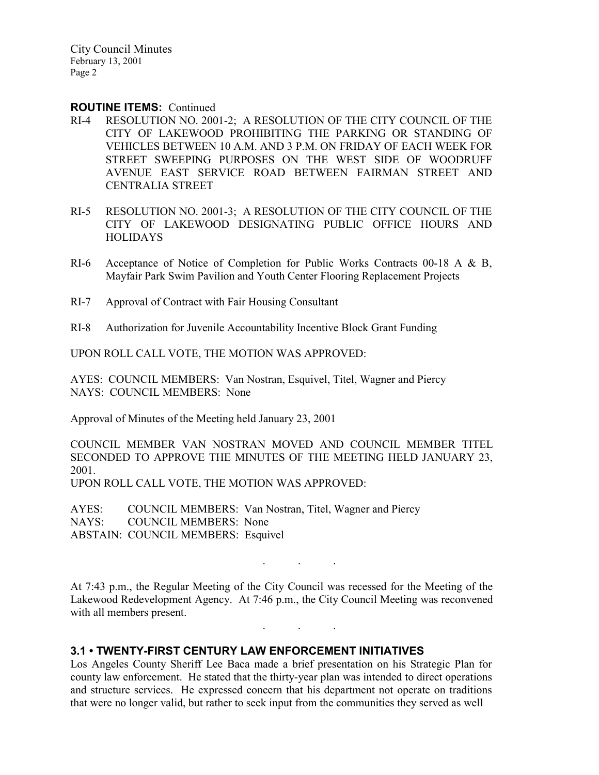City Council Minutes February 13, 2001 Page 2

#### ROUTINE ITEMS: Continued

- RI-4 RESOLUTION NO. 2001-2; A RESOLUTION OF THE CITY COUNCIL OF THE CITY OF LAKEWOOD PROHIBITING THE PARKING OR STANDING OF VEHICLES BETWEEN 10 A.M. AND 3 P.M. ON FRIDAY OF EACH WEEK FOR STREET SWEEPING PURPOSES ON THE WEST SIDE OF WOODRUFF AVENUE EAST SERVICE ROAD BETWEEN FAIRMAN STREET AND CENTRALIA STREET
- RI-5 RESOLUTION NO. 2001-3; A RESOLUTION OF THE CITY COUNCIL OF THE CITY OF LAKEWOOD DESIGNATING PUBLIC OFFICE HOURS AND HOLIDAYS
- RI-6 Acceptance of Notice of Completion for Public Works Contracts 00-18 A & B, Mayfair Park Swim Pavilion and Youth Center Flooring Replacement Projects
- RI-7 Approval of Contract with Fair Housing Consultant
- RI-8 Authorization for Juvenile Accountability Incentive Block Grant Funding

UPON ROLL CALL VOTE, THE MOTION WAS APPROVED:

AYES: COUNCIL MEMBERS: Van Nostran, Esquivel, Titel, Wagner and Piercy NAYS: COUNCIL MEMBERS: None

Approval of Minutes of the Meeting held January 23, 2001

COUNCIL MEMBER VAN NOSTRAN MOVED AND COUNCIL MEMBER TITEL SECONDED TO APPROVE THE MINUTES OF THE MEETING HELD JANUARY 23, 2001. UPON ROLL CALL VOTE, THE MOTION WAS APPROVED:

AYES: COUNCIL MEMBERS: Van Nostran, Titel, Wagner and Piercy NAYS: COUNCIL MEMBERS: None ABSTAIN: COUNCIL MEMBERS: Esquivel

. . .

At 7:43 p.m., the Regular Meeting of the City Council was recessed for the Meeting of the Lakewood Redevelopment Agency. At 7:46 p.m., the City Council Meeting was reconvened with all members present.

. . .

### 3.1 • TWENTY-FIRST CENTURY LAW ENFORCEMENT INITIATIVES

Los Angeles County Sheriff Lee Baca made a brief presentation on his Strategic Plan for county law enforcement. He stated that the thirty-year plan was intended to direct operations and structure services. He expressed concern that his department not operate on traditions that were no longer valid, but rather to seek input from the communities they served as well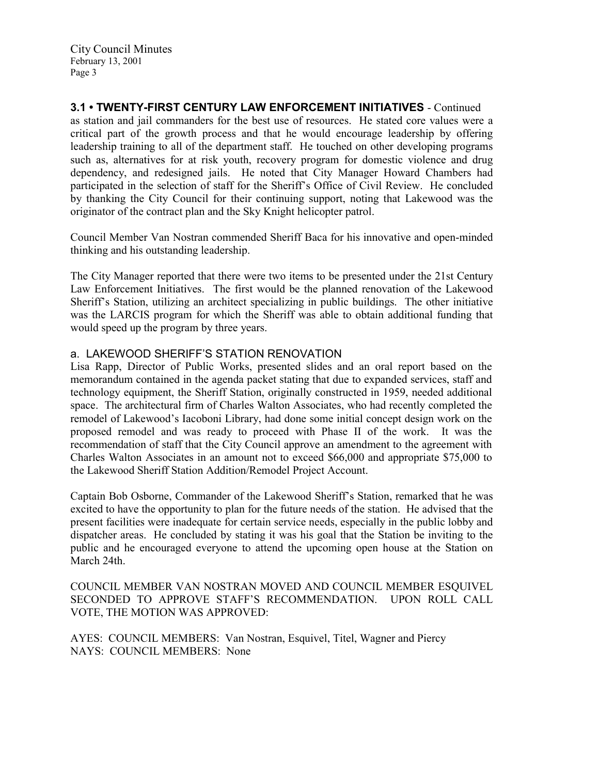3.1 • TWENTY-FIRST CENTURY LAW ENFORCEMENT INITIATIVES - Continued as station and jail commanders for the best use of resources. He stated core values were a critical part of the growth process and that he would encourage leadership by offering leadership training to all of the department staff. He touched on other developing programs such as, alternatives for at risk youth, recovery program for domestic violence and drug dependency, and redesigned jails. He noted that City Manager Howard Chambers had participated in the selection of staff for the Sheriff's Office of Civil Review. He concluded by thanking the City Council for their continuing support, noting that Lakewood was the originator of the contract plan and the Sky Knight helicopter patrol.

Council Member Van Nostran commended Sheriff Baca for his innovative and open-minded thinking and his outstanding leadership.

The City Manager reported that there were two items to be presented under the 21st Century Law Enforcement Initiatives. The first would be the planned renovation of the Lakewood Sheriff's Station, utilizing an architect specializing in public buildings. The other initiative was the LARCIS program for which the Sheriff was able to obtain additional funding that would speed up the program by three years.

### a. LAKEWOOD SHERIFF'S STATION RENOVATION

Lisa Rapp, Director of Public Works, presented slides and an oral report based on the memorandum contained in the agenda packet stating that due to expanded services, staff and technology equipment, the Sheriff Station, originally constructed in 1959, needed additional space. The architectural firm of Charles Walton Associates, who had recently completed the remodel of Lakewood's Iacoboni Library, had done some initial concept design work on the proposed remodel and was ready to proceed with Phase II of the work. It was the recommendation of staff that the City Council approve an amendment to the agreement with Charles Walton Associates in an amount not to exceed \$66,000 and appropriate \$75,000 to the Lakewood Sheriff Station Addition/Remodel Project Account.

Captain Bob Osborne, Commander of the Lakewood Sheriff's Station, remarked that he was excited to have the opportunity to plan for the future needs of the station. He advised that the present facilities were inadequate for certain service needs, especially in the public lobby and dispatcher areas. He concluded by stating it was his goal that the Station be inviting to the public and he encouraged everyone to attend the upcoming open house at the Station on March 24th.

COUNCIL MEMBER VAN NOSTRAN MOVED AND COUNCIL MEMBER ESQUIVEL SECONDED TO APPROVE STAFF'S RECOMMENDATION. UPON ROLL CALL VOTE, THE MOTION WAS APPROVED:

AYES: COUNCIL MEMBERS: Van Nostran, Esquivel, Titel, Wagner and Piercy NAYS: COUNCIL MEMBERS: None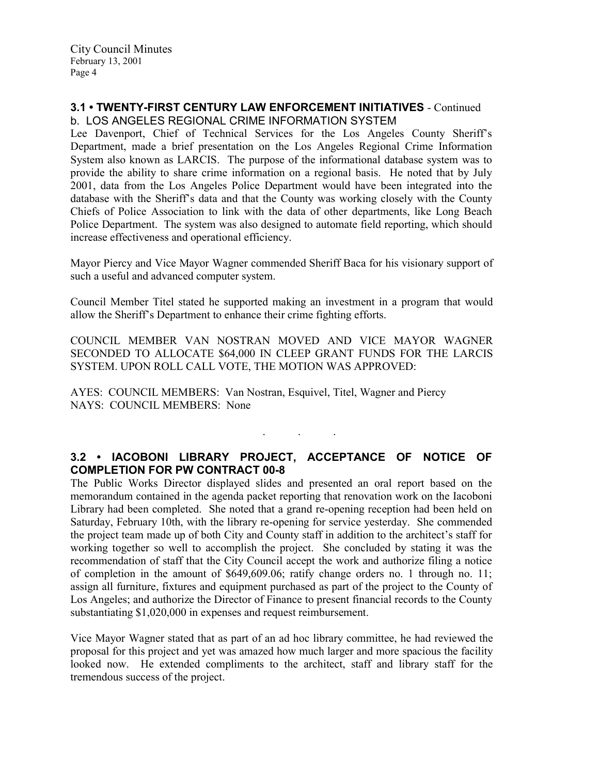### 3.1 • TWENTY-FIRST CENTURY LAW ENFORCEMENT INITIATIVES - Continued b. LOS ANGELES REGIONAL CRIME INFORMATION SYSTEM

Lee Davenport, Chief of Technical Services for the Los Angeles County Sheriff's Department, made a brief presentation on the Los Angeles Regional Crime Information System also known as LARCIS. The purpose of the informational database system was to provide the ability to share crime information on a regional basis. He noted that by July 2001, data from the Los Angeles Police Department would have been integrated into the database with the Sheriff's data and that the County was working closely with the County Chiefs of Police Association to link with the data of other departments, like Long Beach Police Department. The system was also designed to automate field reporting, which should increase effectiveness and operational efficiency.

Mayor Piercy and Vice Mayor Wagner commended Sheriff Baca for his visionary support of such a useful and advanced computer system.

Council Member Titel stated he supported making an investment in a program that would allow the Sheriff's Department to enhance their crime fighting efforts.

COUNCIL MEMBER VAN NOSTRAN MOVED AND VICE MAYOR WAGNER SECONDED TO ALLOCATE \$64,000 IN CLEEP GRANT FUNDS FOR THE LARCIS SYSTEM. UPON ROLL CALL VOTE, THE MOTION WAS APPROVED:

AYES: COUNCIL MEMBERS: Van Nostran, Esquivel, Titel, Wagner and Piercy NAYS: COUNCIL MEMBERS: None

# 3.2 • IACOBONI LIBRARY PROJECT, ACCEPTANCE OF NOTICE OF COMPLETION FOR PW CONTRACT 00-8

. . .

The Public Works Director displayed slides and presented an oral report based on the memorandum contained in the agenda packet reporting that renovation work on the Iacoboni Library had been completed. She noted that a grand re-opening reception had been held on Saturday, February 10th, with the library re-opening for service yesterday. She commended the project team made up of both City and County staff in addition to the architect's staff for working together so well to accomplish the project. She concluded by stating it was the recommendation of staff that the City Council accept the work and authorize filing a notice of completion in the amount of \$649,609.06; ratify change orders no. 1 through no. 11; assign all furniture, fixtures and equipment purchased as part of the project to the County of Los Angeles; and authorize the Director of Finance to present financial records to the County substantiating \$1,020,000 in expenses and request reimbursement.

Vice Mayor Wagner stated that as part of an ad hoc library committee, he had reviewed the proposal for this project and yet was amazed how much larger and more spacious the facility looked now. He extended compliments to the architect, staff and library staff for the tremendous success of the project.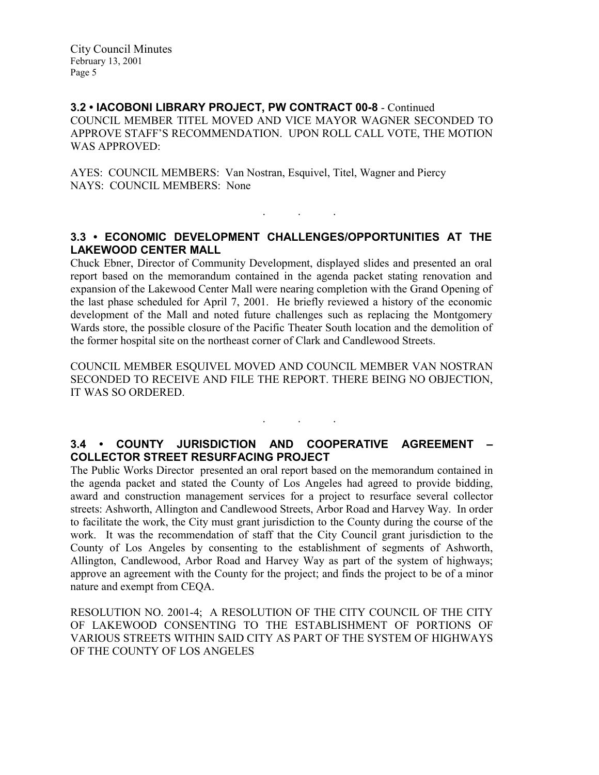#### 3.2 • IACOBONI LIBRARY PROJECT, PW CONTRACT 00-8 - Continued COUNCIL MEMBER TITEL MOVED AND VICE MAYOR WAGNER SECONDED TO APPROVE STAFF'S RECOMMENDATION. UPON ROLL CALL VOTE, THE MOTION WAS APPROVED:

AYES: COUNCIL MEMBERS: Van Nostran, Esquivel, Titel, Wagner and Piercy NAYS: COUNCIL MEMBERS: None

# 3.3 • ECONOMIC DEVELOPMENT CHALLENGES/OPPORTUNITIES AT THE LAKEWOOD CENTER MALL

 $\mathbf{r}$  .  $\mathbf{r}$  ,  $\mathbf{r}$  ,  $\mathbf{r}$  ,  $\mathbf{r}$  ,  $\mathbf{r}$  ,  $\mathbf{r}$  ,  $\mathbf{r}$ 

Chuck Ebner, Director of Community Development, displayed slides and presented an oral report based on the memorandum contained in the agenda packet stating renovation and expansion of the Lakewood Center Mall were nearing completion with the Grand Opening of the last phase scheduled for April 7, 2001. He briefly reviewed a history of the economic development of the Mall and noted future challenges such as replacing the Montgomery Wards store, the possible closure of the Pacific Theater South location and the demolition of the former hospital site on the northeast corner of Clark and Candlewood Streets.

COUNCIL MEMBER ESQUIVEL MOVED AND COUNCIL MEMBER VAN NOSTRAN SECONDED TO RECEIVE AND FILE THE REPORT. THERE BEING NO OBJECTION, IT WAS SO ORDERED.

# 3.4 • COUNTY JURISDICTION AND COOPERATIVE AGREEMENT – COLLECTOR STREET RESURFACING PROJECT

. . .

The Public Works Director presented an oral report based on the memorandum contained in the agenda packet and stated the County of Los Angeles had agreed to provide bidding, award and construction management services for a project to resurface several collector streets: Ashworth, Allington and Candlewood Streets, Arbor Road and Harvey Way. In order to facilitate the work, the City must grant jurisdiction to the County during the course of the work. It was the recommendation of staff that the City Council grant jurisdiction to the County of Los Angeles by consenting to the establishment of segments of Ashworth, Allington, Candlewood, Arbor Road and Harvey Way as part of the system of highways; approve an agreement with the County for the project; and finds the project to be of a minor nature and exempt from CEQA.

RESOLUTION NO. 2001-4; A RESOLUTION OF THE CITY COUNCIL OF THE CITY OF LAKEWOOD CONSENTING TO THE ESTABLISHMENT OF PORTIONS OF VARIOUS STREETS WITHIN SAID CITY AS PART OF THE SYSTEM OF HIGHWAYS OF THE COUNTY OF LOS ANGELES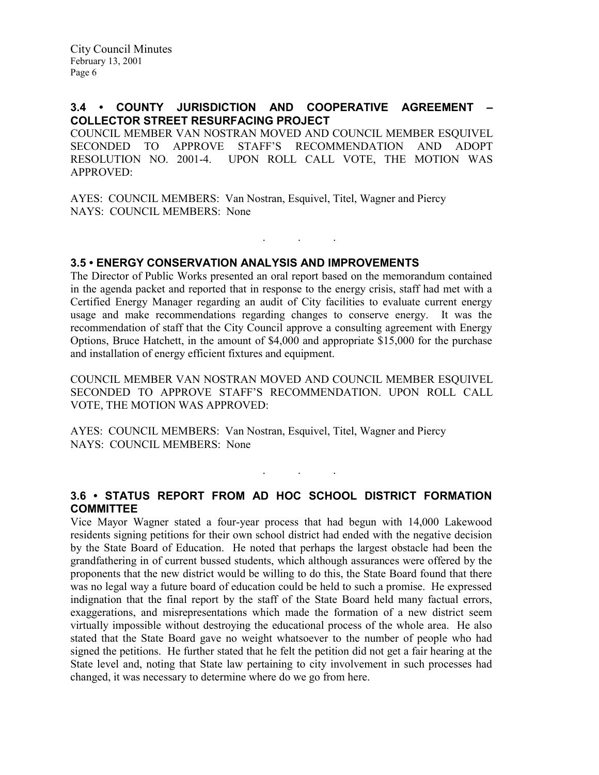## 3.4 • COUNTY JURISDICTION AND COOPERATIVE AGREEMENT – COLLECTOR STREET RESURFACING PROJECT

COUNCIL MEMBER VAN NOSTRAN MOVED AND COUNCIL MEMBER ESQUIVEL SECONDED TO APPROVE STAFF'S RECOMMENDATION AND ADOPT RESOLUTION NO. 2001-4. UPON ROLL CALL VOTE, THE MOTION WAS APPROVED:

AYES: COUNCIL MEMBERS: Van Nostran, Esquivel, Titel, Wagner and Piercy NAYS: COUNCIL MEMBERS: None

### 3.5 • ENERGY CONSERVATION ANALYSIS AND IMPROVEMENTS

The Director of Public Works presented an oral report based on the memorandum contained in the agenda packet and reported that in response to the energy crisis, staff had met with a Certified Energy Manager regarding an audit of City facilities to evaluate current energy usage and make recommendations regarding changes to conserve energy. It was the recommendation of staff that the City Council approve a consulting agreement with Energy Options, Bruce Hatchett, in the amount of \$4,000 and appropriate \$15,000 for the purchase and installation of energy efficient fixtures and equipment.

. . .

COUNCIL MEMBER VAN NOSTRAN MOVED AND COUNCIL MEMBER ESQUIVEL SECONDED TO APPROVE STAFF'S RECOMMENDATION. UPON ROLL CALL VOTE, THE MOTION WAS APPROVED:

AYES: COUNCIL MEMBERS: Van Nostran, Esquivel, Titel, Wagner and Piercy NAYS: COUNCIL MEMBERS: None

## 3.6 • STATUS REPORT FROM AD HOC SCHOOL DISTRICT FORMATION COMMITTEE

. . .

Vice Mayor Wagner stated a four-year process that had begun with 14,000 Lakewood residents signing petitions for their own school district had ended with the negative decision by the State Board of Education. He noted that perhaps the largest obstacle had been the grandfathering in of current bussed students, which although assurances were offered by the proponents that the new district would be willing to do this, the State Board found that there was no legal way a future board of education could be held to such a promise. He expressed indignation that the final report by the staff of the State Board held many factual errors, exaggerations, and misrepresentations which made the formation of a new district seem virtually impossible without destroying the educational process of the whole area. He also stated that the State Board gave no weight whatsoever to the number of people who had signed the petitions. He further stated that he felt the petition did not get a fair hearing at the State level and, noting that State law pertaining to city involvement in such processes had changed, it was necessary to determine where do we go from here.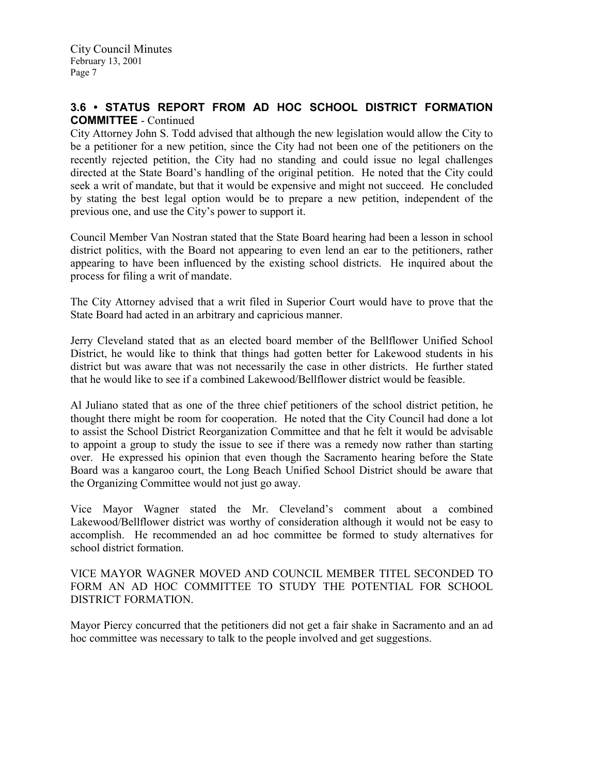## 3.6 • STATUS REPORT FROM AD HOC SCHOOL DISTRICT FORMATION COMMITTEE - Continued

City Attorney John S. Todd advised that although the new legislation would allow the City to be a petitioner for a new petition, since the City had not been one of the petitioners on the recently rejected petition, the City had no standing and could issue no legal challenges directed at the State Board's handling of the original petition. He noted that the City could seek a writ of mandate, but that it would be expensive and might not succeed. He concluded by stating the best legal option would be to prepare a new petition, independent of the previous one, and use the City's power to support it.

Council Member Van Nostran stated that the State Board hearing had been a lesson in school district politics, with the Board not appearing to even lend an ear to the petitioners, rather appearing to have been influenced by the existing school districts. He inquired about the process for filing a writ of mandate.

The City Attorney advised that a writ filed in Superior Court would have to prove that the State Board had acted in an arbitrary and capricious manner.

Jerry Cleveland stated that as an elected board member of the Bellflower Unified School District, he would like to think that things had gotten better for Lakewood students in his district but was aware that was not necessarily the case in other districts. He further stated that he would like to see if a combined Lakewood/Bellflower district would be feasible.

Al Juliano stated that as one of the three chief petitioners of the school district petition, he thought there might be room for cooperation. He noted that the City Council had done a lot to assist the School District Reorganization Committee and that he felt it would be advisable to appoint a group to study the issue to see if there was a remedy now rather than starting over. He expressed his opinion that even though the Sacramento hearing before the State Board was a kangaroo court, the Long Beach Unified School District should be aware that the Organizing Committee would not just go away.

Vice Mayor Wagner stated the Mr. Cleveland's comment about a combined Lakewood/Bellflower district was worthy of consideration although it would not be easy to accomplish. He recommended an ad hoc committee be formed to study alternatives for school district formation.

VICE MAYOR WAGNER MOVED AND COUNCIL MEMBER TITEL SECONDED TO FORM AN AD HOC COMMITTEE TO STUDY THE POTENTIAL FOR SCHOOL DISTRICT FORMATION.

Mayor Piercy concurred that the petitioners did not get a fair shake in Sacramento and an ad hoc committee was necessary to talk to the people involved and get suggestions.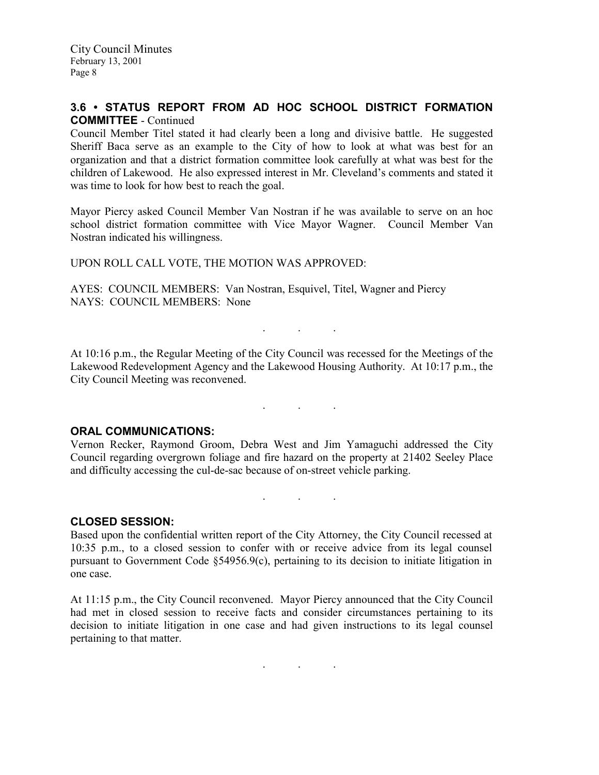## 3.6 • STATUS REPORT FROM AD HOC SCHOOL DISTRICT FORMATION COMMITTEE - Continued

Council Member Titel stated it had clearly been a long and divisive battle. He suggested Sheriff Baca serve as an example to the City of how to look at what was best for an organization and that a district formation committee look carefully at what was best for the children of Lakewood. He also expressed interest in Mr. Cleveland's comments and stated it was time to look for how best to reach the goal.

Mayor Piercy asked Council Member Van Nostran if he was available to serve on an hoc school district formation committee with Vice Mayor Wagner. Council Member Van Nostran indicated his willingness.

UPON ROLL CALL VOTE, THE MOTION WAS APPROVED:

AYES: COUNCIL MEMBERS: Van Nostran, Esquivel, Titel, Wagner and Piercy NAYS: COUNCIL MEMBERS: None

At 10:16 p.m., the Regular Meeting of the City Council was recessed for the Meetings of the Lakewood Redevelopment Agency and the Lakewood Housing Authority. At 10:17 p.m., the City Council Meeting was reconvened.

#### . . .

. . .

#### ORAL COMMUNICATIONS:

Vernon Recker, Raymond Groom, Debra West and Jim Yamaguchi addressed the City Council regarding overgrown foliage and fire hazard on the property at 21402 Seeley Place and difficulty accessing the cul-de-sac because of on-street vehicle parking.

. . .

### CLOSED SESSION:

Based upon the confidential written report of the City Attorney, the City Council recessed at 10:35 p.m., to a closed session to confer with or receive advice from its legal counsel pursuant to Government Code §54956.9(c), pertaining to its decision to initiate litigation in one case.

At 11:15 p.m., the City Council reconvened. Mayor Piercy announced that the City Council had met in closed session to receive facts and consider circumstances pertaining to its decision to initiate litigation in one case and had given instructions to its legal counsel pertaining to that matter.

 $\mathbf{r}$  .  $\mathbf{r}$  ,  $\mathbf{r}$  ,  $\mathbf{r}$  ,  $\mathbf{r}$  ,  $\mathbf{r}$  ,  $\mathbf{r}$  ,  $\mathbf{r}$